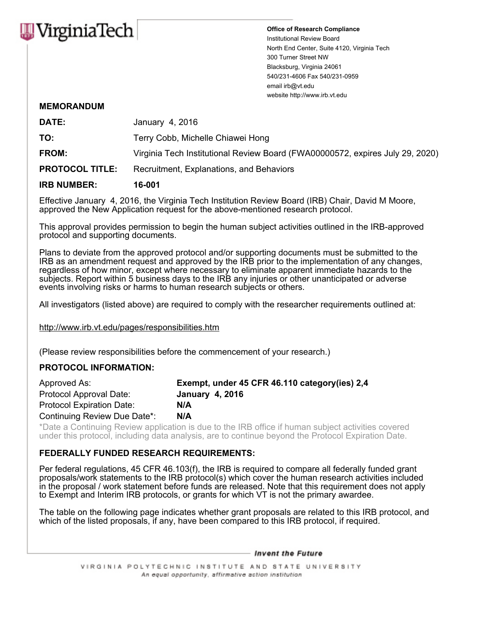

Office of Research Compliance Institutional Review Board North End Center, Suite 4120, Virginia Tech 300 Turner Street NW Blacksburg, Virginia 24061 540/231-4606 Fax 540/231-0959 email irb@vt.edu website http://www.irb.vt.edu

## MEMORANDUM

| <b>IRB NUMBER:</b>     | 16-001                                                                        |
|------------------------|-------------------------------------------------------------------------------|
| <b>PROTOCOL TITLE:</b> | Recruitment, Explanations, and Behaviors                                      |
| <b>FROM:</b>           | Virginia Tech Institutional Review Board (FWA00000572, expires July 29, 2020) |
| TO:                    | Terry Cobb, Michelle Chiawei Hong                                             |
| DATE:                  | January 4, 2016                                                               |

Effective January 4, 2016, the Virginia Tech Institution Review Board (IRB) Chair, David M Moore, approved the New Application request for the above-mentioned research protocol.

This approval provides permission to begin the human subject activities outlined in the IRB-approved protocol and supporting documents.

Plans to deviate from the approved protocol and/or supporting documents must be submitted to the IRB as an amendment request and approved by the IRB prior to the implementation of any changes, regardless of how minor, except where necessary to eliminate apparent immediate hazards to the subjects. Report within 5 business days to the IRB any injuries or other unanticipated or adverse events involving risks or harms to human research subjects or others.

All investigators (listed above) are required to comply with the researcher requirements outlined at:

http://www.irb.vt.edu/pages/responsibilities.htm

(Please review responsibilities before the commencement of your research.)

## PROTOCOL INFORMATION:

| Approved As:                     | Exempt, under 45 CFR 46.110 category (ies) 2,4 |
|----------------------------------|------------------------------------------------|
| Protocol Approval Date:          | <b>January 4, 2016</b>                         |
| <b>Protocol Expiration Date:</b> | N/A                                            |
| Continuing Review Due Date*:     | N/A                                            |

\*Date a Continuing Review application is due to the IRB office if human subject activities covered under this protocol, including data analysis, are to continue beyond the Protocol Expiration Date.

## FEDERALLY FUNDED RESEARCH REQUIREMENTS:

Per federal regulations, 45 CFR 46.103(f), the IRB is required to compare all federally funded grant proposals/work statements to the IRB protocol(s) which cover the human research activities included in the proposal / work statement before funds are released. Note that this requirement does not apply to Exempt and Interim IRB protocols, or grants for which VT is not the primary awardee.

The table on the following page indicates whether grant proposals are related to this IRB protocol, and which of the listed proposals, if any, have been compared to this IRB protocol, if required.

- Invent the Future